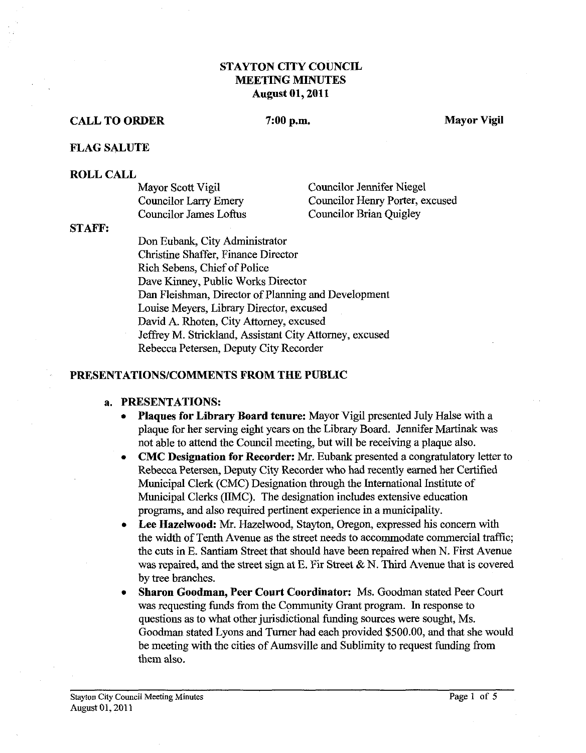# **STAYTON CITY COUNCIL MEETING MINUTES August 01,2011**

# **CALL TO ORDER** 7:00 p.m. Mayor Vigil

## **FLAG SALUTE**

## **ROLL CALL**

| Mayor Scott Vigil            | Councilor Jennifer Niegel       |
|------------------------------|---------------------------------|
| <b>Councilor Larry Emery</b> | Councilor Henry Porter, excused |
| Councilor James Loftus       | Councilor Brian Quigley         |

#### **STAFF:**

Don Eubank, City Administrator Christine Shaffer, Finance Director Rich Sebens, Chief of Police Dave Kinney, Public Works Director Dan Fleishman, Director of Planning and Development Louise Meyers, Library Director, excused David A. Rhoten, City Attorney, excused Jeffiey M. Strickland, Assistant City Attorney, excused Rebecca Petersen, Deputy City Recorder

# **PRESENTATIONSICOMMENTS FROM THE PUBLIC**

## **a. PRESENTATIONS:**

- **Plaques for Library Board tenure:** Mayor Vigil presented July Halse with a  $\bullet$ plaque for her serving eight years on the Library Board. Jennifer Martinak was not able to attend the Council meeting, but will be receiving a plaque also.
- **CMC Designation for Recorder: Mr.** Eubank presented a congratulatory letter to  $\bullet$ Rebecca Petersen, Deputy City Recorder who had recently earned her Certified Municipal Clerk (CMC) Designation through the International Institute of Municipal Clerks (llMC). The designation includes extensive education programs, and also required pertinent experience in a municipality.
- Lee Hazelwood: Mr. Hazelwood, Stayton, Oregon, expressed his concern with  $\bullet$ the width of Tenth Avenue as the street needs to accommodate commercial traffic; the cuts in E. Santiam Street that should have been repaired when N. First Avenue was repaired, and the street sign at E. Fir Street  $\& N$ . Third Avenue that is covered by tree branches.
- **Sharon Goodman, Peer Court Coordinator:** Ms. Goodman stated Peer Court was requesting funds fiom the Community Grant program. In response to questions as to what other jurisdictional funding sources were sought, Ms. Goodman stated Lyons and Turner had each provided \$500.00, and that she would be meeting with the cities of Aumsville and Sublimity to request funding from them also.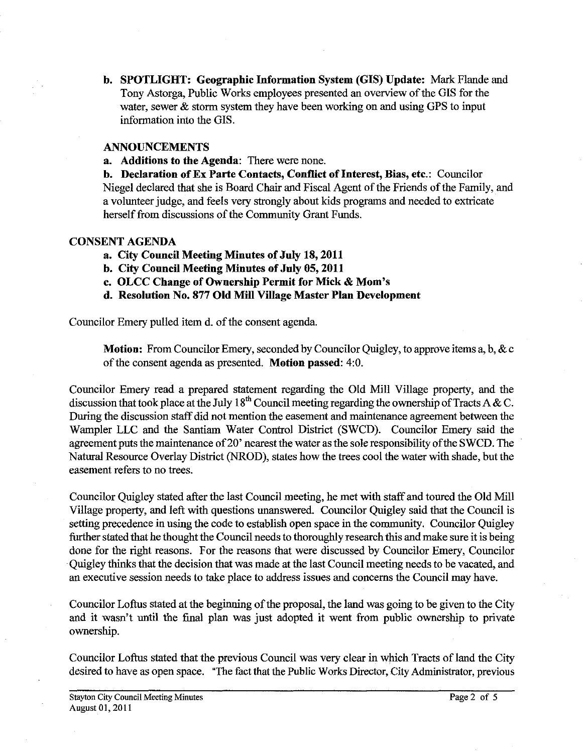**b. SPOTLIGHT: Geographic Information System (GIs) Update:** Mark Flande and Tony Astorga, Public Works employees presented an overview of the GIs for the water, sewer  $\&$  storm system they have been working on and using GPS to input information into the GIs.

# **ANNOUNCEMENTS**

**a. Additions to the Agenda:** There were none.

**b. Declaration of Ex Parte Contacts, Conflict of Interest, Bias, etc.:** Councilor Niegel declared that she is Board Chair and Fiscal Agent of the Friends of the Family, and a volunteer judge, and feels very strongly about kids programs and needed to extricate herself from discussions of the Community Grant Funds.

## **CONSENT AGENDA**

**a. City Council Meeting Minutes of July 18,2011** 

- **b. City Council Meeting Minutes of July 05,2011**
- **c. OLCC Change of Ownership Permit for Mick** & **Mom's**
- **d. Resolution No. 877 Old Mill Village Master Plan Development**

Councilor Emery pulled item d. of the consent agenda.

**Motion:** From Councilor Emery, seconded by Councilor Quigley, to approve items a, b, & c of the consent agenda as presented. **Motion passed:** 4:O.

Councilor Emery read a prepared statement regarding the Old Mill Village property, and the discussion that took place at the July 18<sup>th</sup> Council meeting regarding the ownership of Tracts A & C. During the discussion staff did not mention the easement and maintenance agreement between the Wampler LLC and the Santiam Water Control District (SWCD). Councilor Emery said the agreement puts the maintenance of 20' nearest the water as the sole responsibility of the SWCD. The Natural Resource Overlay District (NROD), states how the trees cool the water with shade, but the easement refers to no trees.

Councilor Quigley stated after the last Council meeting, he met with staff and toured the Old Mill Village property, and left with questions unanswered. Councilor Quigley said that the Council is setting precedence in using the code to establish open space in the community. Councilor Quigley further stated that he thought the Council needs to thoroughly research this and make sure it is being done for the right reasons. For the reasons that were discussed by Councilor Emery, Councilor Quigley thinks that the decision that was made at the last Council meeting needs to be vacated, and an executive session needs to take place to address issues and concerns the Council may have.

Councilor Loftus stated at the beginning of the proposal, the land was going to be given to the City and it wasn't until the final plan was just adopted it went from public ownership to private ownership.

Councilor Loftus stated that the previous Council was very clear in which Tracts of land the City desired to have as open space. "The fact that the Public Works Director, City Administrator, previous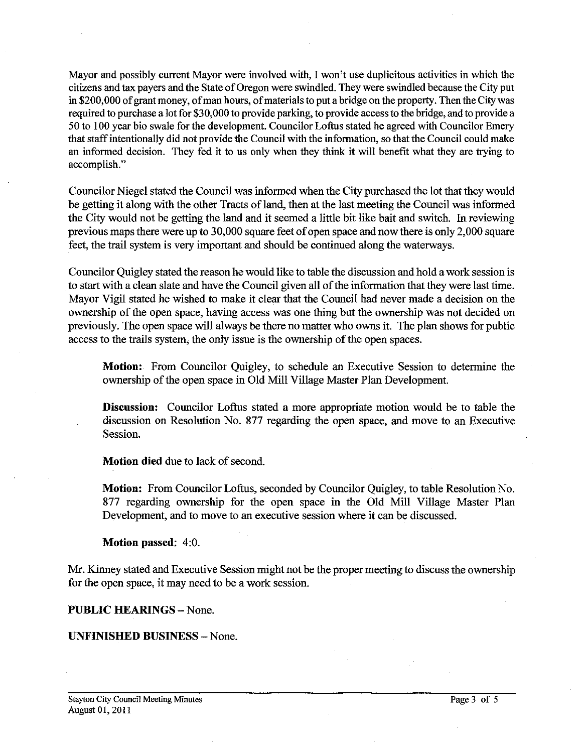Mayor and possibly current Mayor were involved with, I won't use duplicitous activities in which the citizens and tax payers and the State of Oregon were swindled. They were swindled because the City put in **\$200,000** of grant money, of man hours, of materials to put a bridge on the property. Then the City was required to purchase a lot for **\$30,000** to provide parking, to provide access to the bridge, and to provide a **50** to **100** year bio swale for the development. Councilor Loftus stated he agreed with Councilor Emery that staff intentionally did not provide the Council with the information, so that the Council could make an informed decision. They fed it to us only when they think it will benefit what they are trying to accomplish."

Councilor Niegel stated the Council was informed when the City purchased the lot that they would be getting it along with the other Tracts of land, then at the last meeting the Council was informed the City would not be getting the land and it seemed a little bit like bait and switch. In reviewing previous maps there were up to **30,000** square feet of open space and now there is only **2,000** square feet, the trail system is very important and should be continued along the waterways.

Councilor Quigley stated the reason he would like to table the discussion and hold a work session is to start with a clean slate and have the Council given all of the information that they were last time. Mayor Vigil stated he wished to make it clear that the Council had never made a decision on the ownership of the open space, having access was one thing but the ownership was not decided on previously. The open space will always be there no matter who owns it. The plan shows for public access to the trails system, the only issue is the ownership of the open spaces.

**Motion:** From Councilor Quigley, to schedule an Executive Session to determine the ownership of the open space in Old Mill Village Master Plan Development.

**Discussion:** Councilor Loftus stated a more appropriate motion would be to table the discussion on Resolution No. 877 regarding the open space, and move to an Executive Session.

**Motion died** due to lack of second.

**Motion:** From Councilor Loftus, seconded by Councilor Quigley, to table Resolution No. 877 regarding ownership for the open space in the Old Mill Village Master Plan Development, and to move to an executive session where it can be discussed.

# **Motion passed: 4:O.**

Mr. Kinney stated and Executive Session might not be the proper meeting to discuss the ownership for the open space, it may need to be a work session.

# **PUBLIC HEARINGS - None.**

# **UNFINISHED BUSINESS** -None.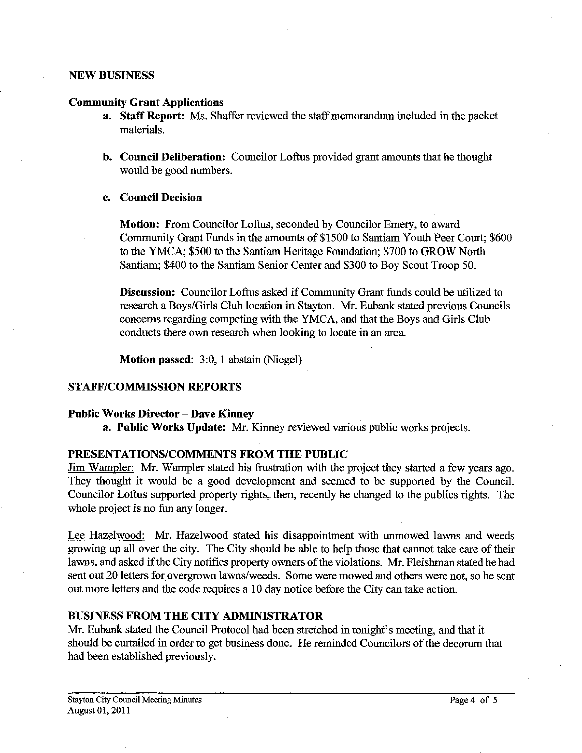## **NEW BUSINESS**

#### **Community Grant Applications**

- **a. Staff Report:** Ms. Shaffer reviewed the staff memorandum included in the packet materials.
- **b. Council Deliberation:** Councilor Loftus provided grant amounts that he thought would be good numbers.

## **c. Council Decision**

**Motion:** From Councilor Loftus, seconded by Councilor Emery, to award Community Grant Funds in the amounts of \$1500 to Santiam Youth Peer Court; \$600 to the YMCA; \$500 to the Santiam Heritage Foundation; \$700 to GROW North Santiam; \$400 to the Santiam Senior Center and \$300 to Boy Scout Troop 50.

**Discussion:** Councilor Loftus asked if Community Grant funds could be utilized to research a Boys/Girls Club location in Stayton. Mr. Eubank stated previous Councils concerns regarding competing with the YMCA, and that the Boys and Girls Club conducts there own research when looking to locate in an area.

**Motion passed:** 3:0, **1** abstain (Niegel)

## **STAFFICOMMISSION REPORTS**

## **Public Works Director** - **Dave Kinney**

**a. Public Works Update: Mr.** Kinney reviewed various public works projects.

## **PRESENTATIONSICOMMENTS FROM THE PUBLIC**

Jim Wampler: Mr. Wampler stated his frustration with the project they started a few years ago. They thought it would be a good development and seemed to be supported by the Council. Councilor Loftus supported property rights, then, recently he changed to the publics rights. The whole project is no fun any longer.

Lee Hazelwood: Mr. Hazelwood stated his disappointment with unmowed lawns and weeds growing up all over the city. The City should be able to help those that cannot take care of their lawns, and asked if the City notifies property owners of the violations. Mr. Fleishman stated he had sent out 20 letters for overgrown lawns/weeds. Some were mowed and others were not, so he sent out more letters and the code requires a 10 day notice before the City can take action.

## **BUSINESS FROM THE CITY ADMINISTRATOR**

**Mr.** Eubank stated the Council Protocol had been stretched in tonight's meeting, and that it should be curtailed in order to get business done. He reminded Councilors of the decorum that had been established previously.